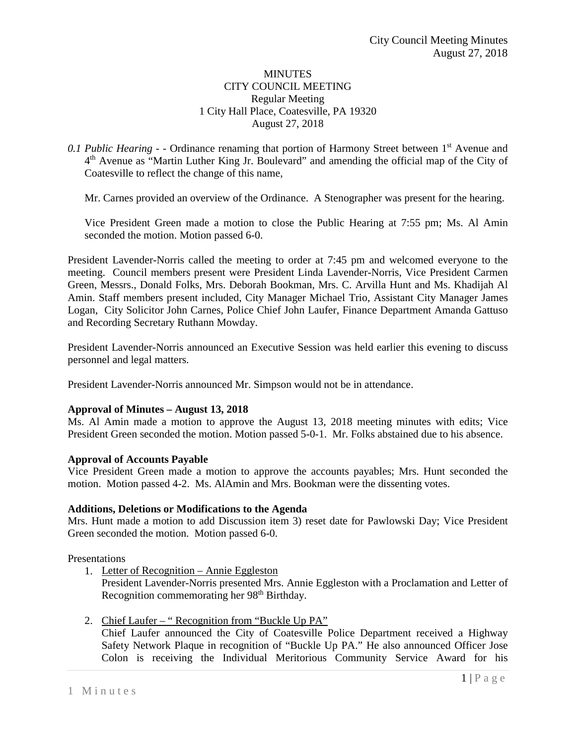# **MINUTES** CITY COUNCIL MEETING Regular Meeting 1 City Hall Place, Coatesville, PA 19320 August 27, 2018

# 0.1 *Public Hearing -* - Ordinance renaming that portion of Harmony Street between 1<sup>st</sup> Avenue and  $4<sup>th</sup>$  Avenue as "Martin Luther King Jr. Boulevard" and amending the official map of the City of Coatesville to reflect the change of this name,

Mr. Carnes provided an overview of the Ordinance. A Stenographer was present for the hearing.

Vice President Green made a motion to close the Public Hearing at 7:55 pm; Ms. Al Amin seconded the motion. Motion passed 6-0.

President Lavender-Norris called the meeting to order at 7:45 pm and welcomed everyone to the meeting. Council members present were President Linda Lavender-Norris, Vice President Carmen Green, Messrs., Donald Folks, Mrs. Deborah Bookman, Mrs. C. Arvilla Hunt and Ms. Khadijah Al Amin. Staff members present included, City Manager Michael Trio, Assistant City Manager James Logan, City Solicitor John Carnes, Police Chief John Laufer, Finance Department Amanda Gattuso and Recording Secretary Ruthann Mowday.

President Lavender-Norris announced an Executive Session was held earlier this evening to discuss personnel and legal matters.

President Lavender-Norris announced Mr. Simpson would not be in attendance.

#### **Approval of Minutes – August 13, 2018**

Ms. Al Amin made a motion to approve the August 13, 2018 meeting minutes with edits; Vice President Green seconded the motion. Motion passed 5-0-1. Mr. Folks abstained due to his absence.

#### **Approval of Accounts Payable**

Vice President Green made a motion to approve the accounts payables; Mrs. Hunt seconded the motion. Motion passed 4-2. Ms. AlAmin and Mrs. Bookman were the dissenting votes.

#### **Additions, Deletions or Modifications to the Agenda**

Mrs. Hunt made a motion to add Discussion item 3) reset date for Pawlowski Day; Vice President Green seconded the motion. Motion passed 6-0.

Presentations

1. Letter of Recognition – Annie Eggleston

President Lavender-Norris presented Mrs. Annie Eggleston with a Proclamation and Letter of Recognition commemorating her 98<sup>th</sup> Birthday.

2. Chief Laufer – " Recognition from "Buckle Up PA" Chief Laufer announced the City of Coatesville Police Department received a Highway Safety Network Plaque in recognition of "Buckle Up PA." He also announced Officer Jose Colon is receiving the Individual Meritorious Community Service Award for his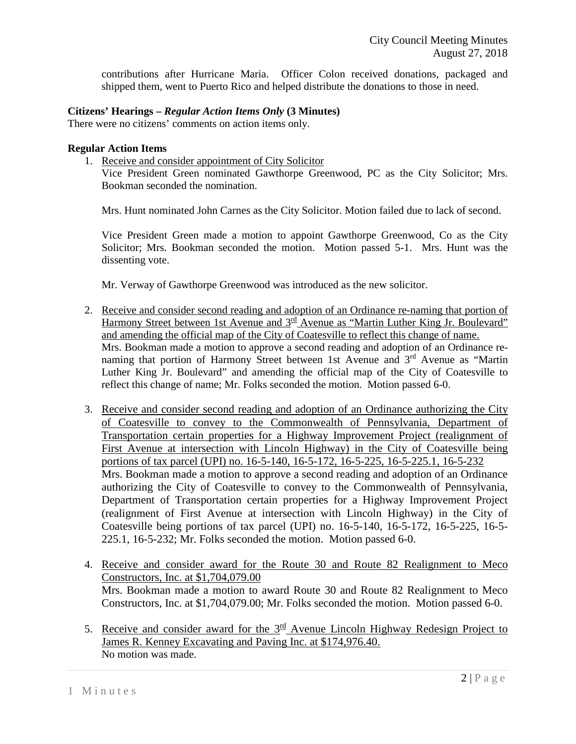contributions after Hurricane Maria. Officer Colon received donations, packaged and shipped them, went to Puerto Rico and helped distribute the donations to those in need.

# **Citizens' Hearings –** *Regular Action Items Only* **(3 Minutes)**

There were no citizens' comments on action items only.

# **Regular Action Items**

1. Receive and consider appointment of City Solicitor

Vice President Green nominated Gawthorpe Greenwood, PC as the City Solicitor; Mrs. Bookman seconded the nomination.

Mrs. Hunt nominated John Carnes as the City Solicitor. Motion failed due to lack of second.

Vice President Green made a motion to appoint Gawthorpe Greenwood, Co as the City Solicitor; Mrs. Bookman seconded the motion. Motion passed 5-1. Mrs. Hunt was the dissenting vote.

Mr. Verway of Gawthorpe Greenwood was introduced as the new solicitor.

- 2. Receive and consider second reading and adoption of an Ordinance re-naming that portion of Harmony Street between 1st Avenue and 3<sup>rd</sup> Avenue as "Martin Luther King Jr. Boulevard" and amending the official map of the City of Coatesville to reflect this change of name. Mrs. Bookman made a motion to approve a second reading and adoption of an Ordinance renaming that portion of Harmony Street between 1st Avenue and 3<sup>rd</sup> Avenue as "Martin Luther King Jr. Boulevard" and amending the official map of the City of Coatesville to reflect this change of name; Mr. Folks seconded the motion. Motion passed 6-0.
- 3. Receive and consider second reading and adoption of an Ordinance authorizing the City of Coatesville to convey to the Commonwealth of Pennsylvania, Department of Transportation certain properties for a Highway Improvement Project (realignment of First Avenue at intersection with Lincoln Highway) in the City of Coatesville being portions of tax parcel (UPI) no. 16-5-140, 16-5-172, 16-5-225, 16-5-225.1, 16-5-232 Mrs. Bookman made a motion to approve a second reading and adoption of an Ordinance authorizing the City of Coatesville to convey to the Commonwealth of Pennsylvania, Department of Transportation certain properties for a Highway Improvement Project (realignment of First Avenue at intersection with Lincoln Highway) in the City of Coatesville being portions of tax parcel (UPI) no. 16-5-140, 16-5-172, 16-5-225, 16-5- 225.1, 16-5-232; Mr. Folks seconded the motion. Motion passed 6-0.
- 4. Receive and consider award for the Route 30 and Route 82 Realignment to Meco Constructors, Inc. at \$1,704,079.00 Mrs. Bookman made a motion to award Route 30 and Route 82 Realignment to Meco Constructors, Inc. at \$1,704,079.00; Mr. Folks seconded the motion. Motion passed 6-0.
- 5. Receive and consider award for the  $3<sup>rd</sup>$  Avenue Lincoln Highway Redesign Project to James R. Kenney Excavating and Paving Inc. at \$174,976.40. No motion was made.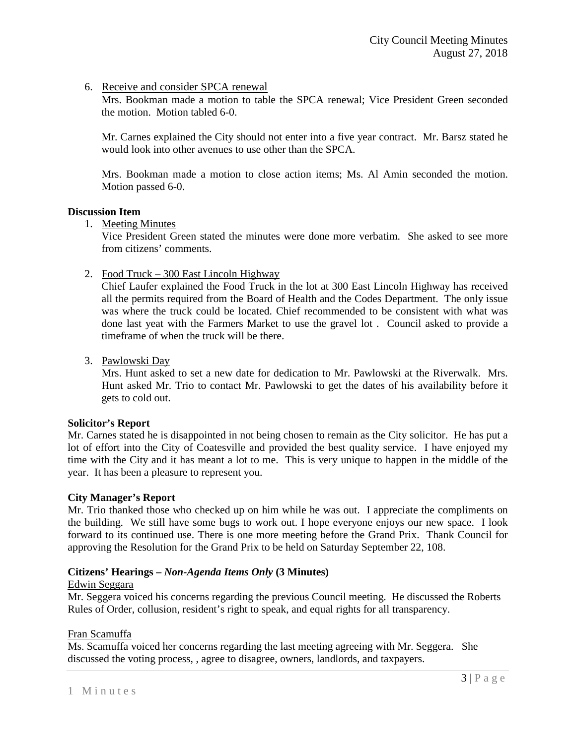# 6. Receive and consider SPCA renewal

Mrs. Bookman made a motion to table the SPCA renewal; Vice President Green seconded the motion. Motion tabled 6-0.

Mr. Carnes explained the City should not enter into a five year contract. Mr. Barsz stated he would look into other avenues to use other than the SPCA.

Mrs. Bookman made a motion to close action items; Ms. Al Amin seconded the motion. Motion passed 6-0.

# **Discussion Item**

1. Meeting Minutes

Vice President Green stated the minutes were done more verbatim. She asked to see more from citizens' comments.

2. Food Truck – 300 East Lincoln Highway

Chief Laufer explained the Food Truck in the lot at 300 East Lincoln Highway has received all the permits required from the Board of Health and the Codes Department. The only issue was where the truck could be located. Chief recommended to be consistent with what was done last yeat with the Farmers Market to use the gravel lot . Council asked to provide a timeframe of when the truck will be there.

3. Pawlowski Day

Mrs. Hunt asked to set a new date for dedication to Mr. Pawlowski at the Riverwalk. Mrs. Hunt asked Mr. Trio to contact Mr. Pawlowski to get the dates of his availability before it gets to cold out.

#### **Solicitor's Report**

Mr. Carnes stated he is disappointed in not being chosen to remain as the City solicitor. He has put a lot of effort into the City of Coatesville and provided the best quality service. I have enjoyed my time with the City and it has meant a lot to me. This is very unique to happen in the middle of the year. It has been a pleasure to represent you.

#### **City Manager's Report**

Mr. Trio thanked those who checked up on him while he was out. I appreciate the compliments on the building. We still have some bugs to work out. I hope everyone enjoys our new space. I look forward to its continued use. There is one more meeting before the Grand Prix. Thank Council for approving the Resolution for the Grand Prix to be held on Saturday September 22, 108.

# **Citizens' Hearings –** *Non-Agenda Items Only* **(3 Minutes)**

#### Edwin Seggara

Mr. Seggera voiced his concerns regarding the previous Council meeting. He discussed the Roberts Rules of Order, collusion, resident's right to speak, and equal rights for all transparency.

#### Fran Scamuffa

Ms. Scamuffa voiced her concerns regarding the last meeting agreeing with Mr. Seggera. She discussed the voting process, , agree to disagree, owners, landlords, and taxpayers.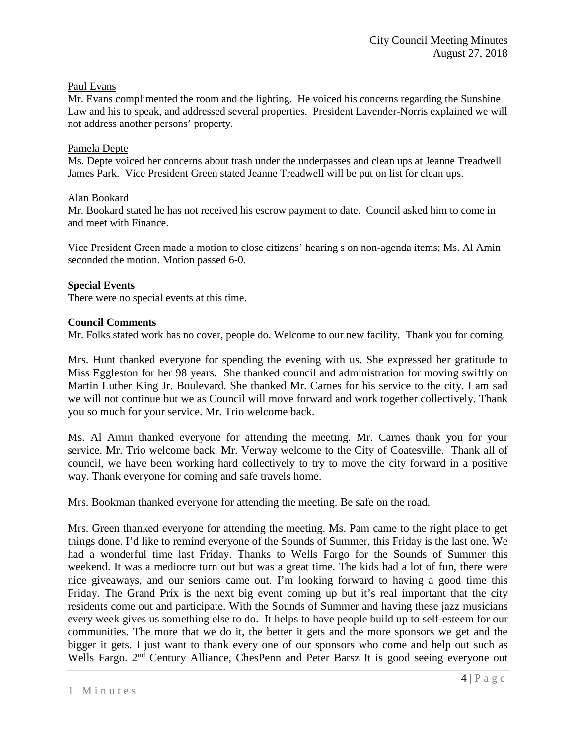# Paul Evans

Mr. Evans complimented the room and the lighting. He voiced his concerns regarding the Sunshine Law and his to speak, and addressed several properties. President Lavender-Norris explained we will not address another persons' property.

### Pamela Depte

Ms. Depte voiced her concerns about trash under the underpasses and clean ups at Jeanne Treadwell James Park. Vice President Green stated Jeanne Treadwell will be put on list for clean ups.

# Alan Bookard

Mr. Bookard stated he has not received his escrow payment to date. Council asked him to come in and meet with Finance.

Vice President Green made a motion to close citizens' hearing s on non-agenda items; Ms. Al Amin seconded the motion. Motion passed 6-0.

# **Special Events**

There were no special events at this time.

# **Council Comments**

Mr. Folks stated work has no cover, people do. Welcome to our new facility. Thank you for coming.

Mrs. Hunt thanked everyone for spending the evening with us. She expressed her gratitude to Miss Eggleston for her 98 years. She thanked council and administration for moving swiftly on Martin Luther King Jr. Boulevard. She thanked Mr. Carnes for his service to the city. I am sad we will not continue but we as Council will move forward and work together collectively. Thank you so much for your service. Mr. Trio welcome back.

Ms. Al Amin thanked everyone for attending the meeting. Mr. Carnes thank you for your service. Mr. Trio welcome back. Mr. Verway welcome to the City of Coatesville. Thank all of council, we have been working hard collectively to try to move the city forward in a positive way. Thank everyone for coming and safe travels home.

Mrs. Bookman thanked everyone for attending the meeting. Be safe on the road.

Mrs. Green thanked everyone for attending the meeting. Ms. Pam came to the right place to get things done. I'd like to remind everyone of the Sounds of Summer, this Friday is the last one. We had a wonderful time last Friday. Thanks to Wells Fargo for the Sounds of Summer this weekend. It was a mediocre turn out but was a great time. The kids had a lot of fun, there were nice giveaways, and our seniors came out. I'm looking forward to having a good time this Friday. The Grand Prix is the next big event coming up but it's real important that the city residents come out and participate. With the Sounds of Summer and having these jazz musicians every week gives us something else to do. It helps to have people build up to self-esteem for our communities. The more that we do it, the better it gets and the more sponsors we get and the bigger it gets. I just want to thank every one of our sponsors who come and help out such as Wells Fargo. 2<sup>nd</sup> Century Alliance, ChesPenn and Peter Barsz It is good seeing everyone out